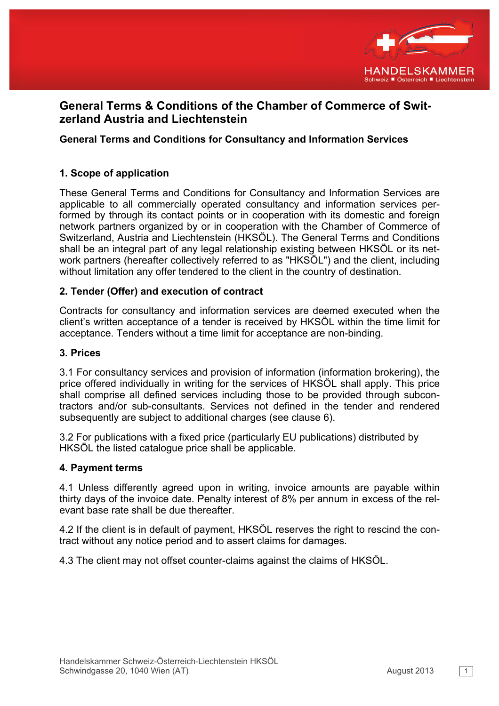

# **General Terms & Conditions of the Chamber of Commerce of Switzerland Austria and Liechtenstein**

## **General Terms and Conditions for Consultancy and Information Services**

## **1. Scope of application**

These General Terms and Conditions for Consultancy and Information Services are applicable to all commercially operated consultancy and information services performed by through its contact points or in cooperation with its domestic and foreign network partners organized by or in cooperation with the Chamber of Commerce of Switzerland, Austria and Liechtenstein (HKSÖL). The General Terms and Conditions shall be an integral part of any legal relationship existing between HKSÖL or its network partners (hereafter collectively referred to as "HKSÖL") and the client, including without limitation any offer tendered to the client in the country of destination.

## **2. Tender (Offer) and execution of contract**

Contracts for consultancy and information services are deemed executed when the client's written acceptance of a tender is received by HKSÖL within the time limit for acceptance. Tenders without a time limit for acceptance are non-binding.

## **3. Prices**

3.1 For consultancy services and provision of information (information brokering), the price offered individually in writing for the services of HKSÖL shall apply. This price shall comprise all defined services including those to be provided through subcontractors and/or sub-consultants. Services not defined in the tender and rendered subsequently are subject to additional charges (see clause 6).

3.2 For publications with a fixed price (particularly EU publications) distributed by HKSÖL the listed catalogue price shall be applicable.

## **4. Payment terms**

4.1 Unless differently agreed upon in writing, invoice amounts are payable within thirty days of the invoice date. Penalty interest of 8% per annum in excess of the relevant base rate shall be due thereafter.

4.2 If the client is in default of payment, HKSÖL reserves the right to rescind the contract without any notice period and to assert claims for damages.

4.3 The client may not offset counter-claims against the claims of HKSÖL.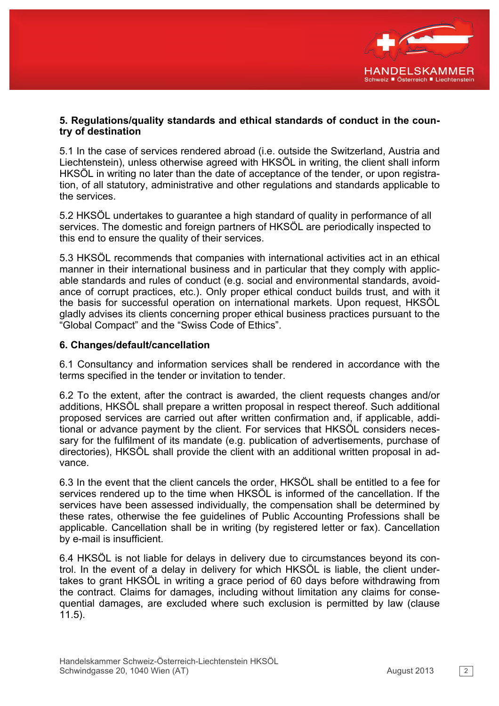

## **5. Regulations/quality standards and ethical standards of conduct in the country of destination**

5.1 In the case of services rendered abroad (i.e. outside the Switzerland, Austria and Liechtenstein), unless otherwise agreed with HKSÖL in writing, the client shall inform HKSÖL in writing no later than the date of acceptance of the tender, or upon registration, of all statutory, administrative and other regulations and standards applicable to the services.

5.2 HKSÖL undertakes to guarantee a high standard of quality in performance of all services. The domestic and foreign partners of HKSÖL are periodically inspected to this end to ensure the quality of their services.

5.3 HKSÖL recommends that companies with international activities act in an ethical manner in their international business and in particular that they comply with applicable standards and rules of conduct (e.g. social and environmental standards, avoidance of corrupt practices, etc.). Only proper ethical conduct builds trust, and with it the basis for successful operation on international markets. Upon request, HKSÖL gladly advises its clients concerning proper ethical business practices pursuant to the "Global Compact" and the "Swiss Code of Ethics".

## **6. Changes/default/cancellation**

6.1 Consultancy and information services shall be rendered in accordance with the terms specified in the tender or invitation to tender.

6.2 To the extent, after the contract is awarded, the client requests changes and/or additions, HKSÖL shall prepare a written proposal in respect thereof. Such additional proposed services are carried out after written confirmation and, if applicable, additional or advance payment by the client. For services that HKSÖL considers necessary for the fulfilment of its mandate (e.g. publication of advertisements, purchase of directories), HKSÖL shall provide the client with an additional written proposal in advance.

6.3 In the event that the client cancels the order, HKSÖL shall be entitled to a fee for services rendered up to the time when HKSÖL is informed of the cancellation. If the services have been assessed individually, the compensation shall be determined by these rates, otherwise the fee guidelines of Public Accounting Professions shall be applicable. Cancellation shall be in writing (by registered letter or fax). Cancellation by e-mail is insufficient.

6.4 HKSÖL is not liable for delays in delivery due to circumstances beyond its control. In the event of a delay in delivery for which HKSÖL is liable, the client undertakes to grant HKSÖL in writing a grace period of 60 days before withdrawing from the contract. Claims for damages, including without limitation any claims for consequential damages, are excluded where such exclusion is permitted by law (clause 11.5).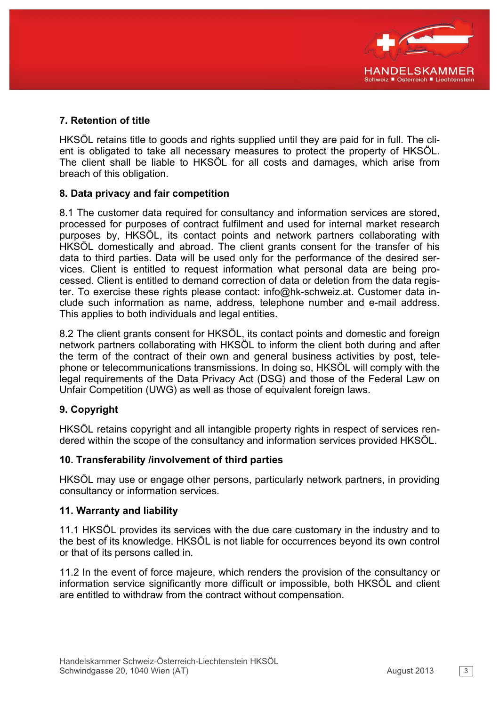

# **7. Retention of title**

HKSÖL retains title to goods and rights supplied until they are paid for in full. The client is obligated to take all necessary measures to protect the property of HKSÖL. The client shall be liable to HKSÖL for all costs and damages, which arise from breach of this obligation.

## **8. Data privacy and fair competition**

8.1 The customer data required for consultancy and information services are stored, processed for purposes of contract fulfilment and used for internal market research purposes by, HKSÖL, its contact points and network partners collaborating with HKSÖL domestically and abroad. The client grants consent for the transfer of his data to third parties. Data will be used only for the performance of the desired services. Client is entitled to request information what personal data are being processed. Client is entitled to demand correction of data or deletion from the data register. To exercise these rights please contact: info@hk-schweiz.at. Customer data include such information as name, address, telephone number and e-mail address. This applies to both individuals and legal entities.

8.2 The client grants consent for HKSÖL, its contact points and domestic and foreign network partners collaborating with HKSÖL to inform the client both during and after the term of the contract of their own and general business activities by post, telephone or telecommunications transmissions. In doing so, HKSÖL will comply with the legal requirements of the Data Privacy Act (DSG) and those of the Federal Law on Unfair Competition (UWG) as well as those of equivalent foreign laws.

## **9. Copyright**

HKSÖL retains copyright and all intangible property rights in respect of services rendered within the scope of the consultancy and information services provided HKSÖL.

#### **10. Transferability /involvement of third parties**

HKSÖL may use or engage other persons, particularly network partners, in providing consultancy or information services.

#### **11. Warranty and liability**

11.1 HKSÖL provides its services with the due care customary in the industry and to the best of its knowledge. HKSÖL is not liable for occurrences beyond its own control or that of its persons called in.

11.2 In the event of force majeure, which renders the provision of the consultancy or information service significantly more difficult or impossible, both HKSÖL and client are entitled to withdraw from the contract without compensation.